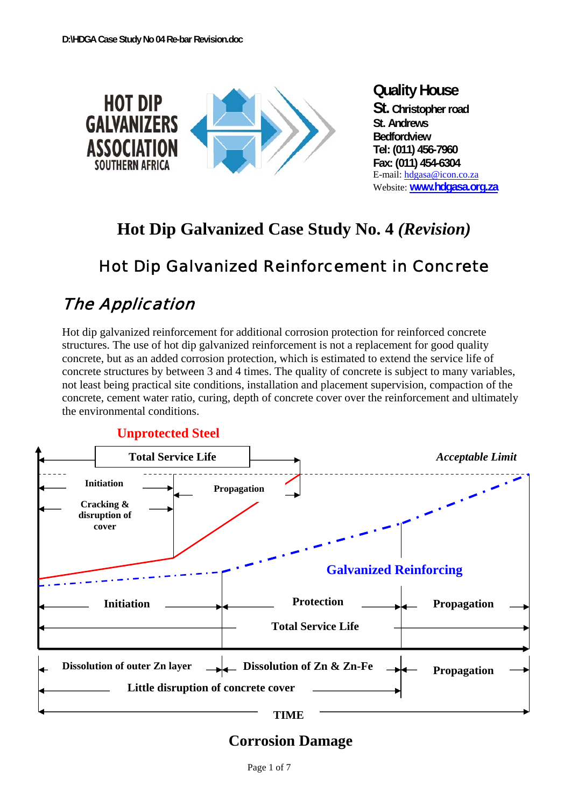

# **Hot Dip Galvanized Case Study No. 4** *(Revision)*

# Hot Dip Galvanized Reinforcement in Concrete

# The Application

Hot dip galvanized reinforcement for additional corrosion protection for reinforced concrete structures. The use of hot dip galvanized reinforcement is not a replacement for good quality concrete, but as an added corrosion protection, which is estimated to extend the service life of concrete structures by between 3 and 4 times. The quality of concrete is subject to many variables, not least being practical site conditions, installation and placement supervision, compaction of the concrete, cement water ratio, curing, depth of concrete cover over the reinforcement and ultimately the environmental conditions.





### **Corrosion Damage**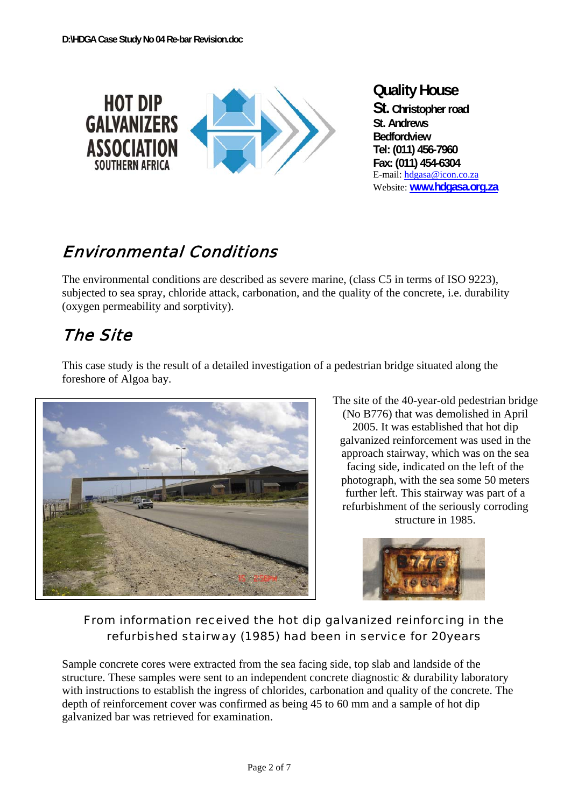

# Environmental Conditions

The environmental conditions are described as severe marine, (class C5 in terms of ISO 9223), subjected to sea spray, chloride attack, carbonation, and the quality of the concrete, i.e. durability (oxygen permeability and sorptivity).

## The Site



This case study is the result of a detailed investigation of a pedestrian bridge situated along the foreshore of Algoa bay.

> The site of the 40-year-old pedestrian bridge (No B776) that was demolished in April 2005. It was established that hot dip galvanized reinforcement was used in the approach stairway, which was on the sea facing side, indicated on the left of the photograph, with the sea some 50 meters further left. This stairway was part of a refurbishment of the seriously corroding structure in 1985.



### From information received the hot dip galvanized reinforcing in the refurbished stairway (1985) had been in service for 20years

Sample concrete cores were extracted from the sea facing side, top slab and landside of the structure. These samples were sent to an independent concrete diagnostic & durability laboratory with instructions to establish the ingress of chlorides, carbonation and quality of the concrete. The depth of reinforcement cover was confirmed as being 45 to 60 mm and a sample of hot dip galvanized bar was retrieved for examination.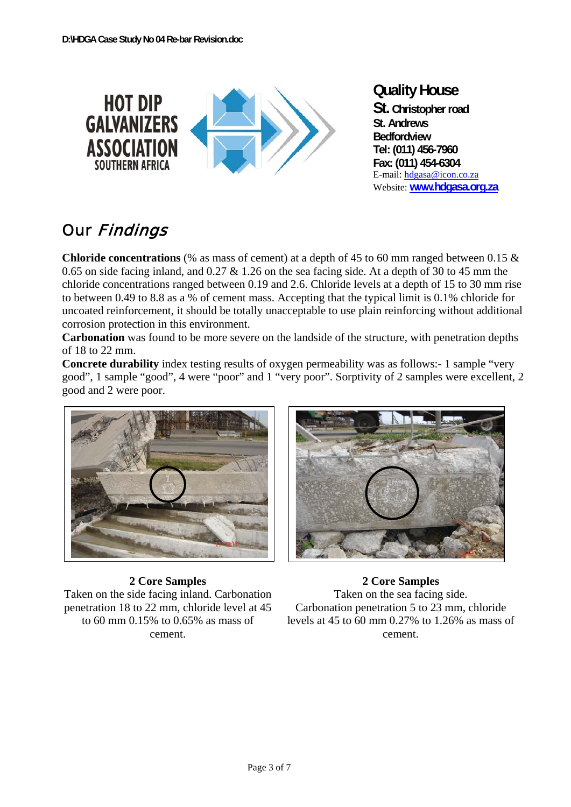

# Our Findings

**Chloride concentrations** (% as mass of cement) at a depth of 45 to 60 mm ranged between 0.15 & 0.65 on side facing inland, and 0.27  $\&$  1.26 on the sea facing side. At a depth of 30 to 45 mm the chloride concentrations ranged between 0.19 and 2.6. Chloride levels at a depth of 15 to 30 mm rise to between 0.49 to 8.8 as a % of cement mass. Accepting that the typical limit is 0.1% chloride for uncoated reinforcement, it should be totally unacceptable to use plain reinforcing without additional corrosion protection in this environment.

**Carbonation** was found to be more severe on the landside of the structure, with penetration depths of 18 to 22 mm.

**Concrete durability** index testing results of oxygen permeability was as follows:- 1 sample "very good", 1 sample "good", 4 were "poor" and 1 "very poor". Sorptivity of 2 samples were excellent, 2 good and 2 were poor.



#### **2 Core Samples**

Taken on the side facing inland. Carbonation penetration 18 to 22 mm, chloride level at 45 to 60 mm 0.15% to 0.65% as mass of cement.



**2 Core Samples**  Taken on the sea facing side. Carbonation penetration 5 to 23 mm, chloride levels at 45 to 60 mm 0.27% to 1.26% as mass of cement.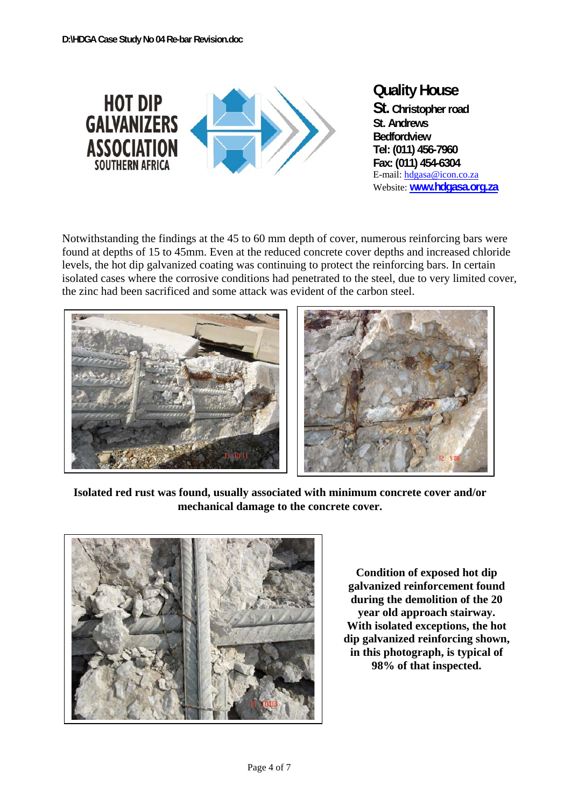

Notwithstanding the findings at the 45 to 60 mm depth of cover, numerous reinforcing bars were found at depths of 15 to 45mm. Even at the reduced concrete cover depths and increased chloride levels, the hot dip galvanized coating was continuing to protect the reinforcing bars. In certain isolated cases where the corrosive conditions had penetrated to the steel, due to very limited cover, the zinc had been sacrificed and some attack was evident of the carbon steel.



**Isolated red rust was found, usually associated with minimum concrete cover and/or mechanical damage to the concrete cover.** 



**Condition of exposed hot dip galvanized reinforcement found during the demolition of the 20 year old approach stairway. With isolated exceptions, the hot dip galvanized reinforcing shown, in this photograph, is typical of 98% of that inspected.**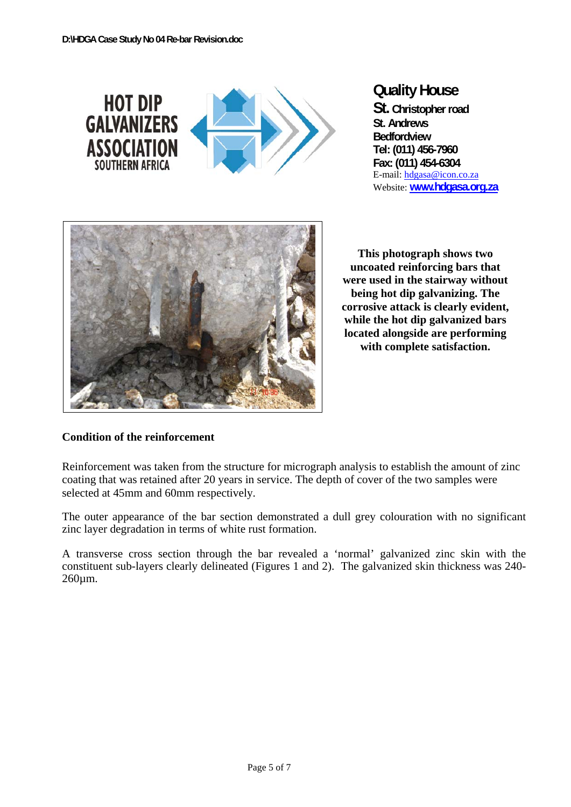

### **Quality House**

**St. Christopher road St. Andrews Bedfordview Tel: (011) 456-7960 Fax: (011) 454-6304**  E-mail: hdgasa@icon.co.za Website: **www.hdgasa.org.za**



**This photograph shows two uncoated reinforcing bars that were used in the stairway without being hot dip galvanizing. The corrosive attack is clearly evident, while the hot dip galvanized bars located alongside are performing with complete satisfaction.** 

#### **Condition of the reinforcement**

Reinforcement was taken from the structure for micrograph analysis to establish the amount of zinc coating that was retained after 20 years in service. The depth of cover of the two samples were selected at 45mm and 60mm respectively.

The outer appearance of the bar section demonstrated a dull grey colouration with no significant zinc layer degradation in terms of white rust formation.

A transverse cross section through the bar revealed a 'normal' galvanized zinc skin with the constituent sub-layers clearly delineated (Figures 1 and 2). The galvanized skin thickness was 240- 260µm.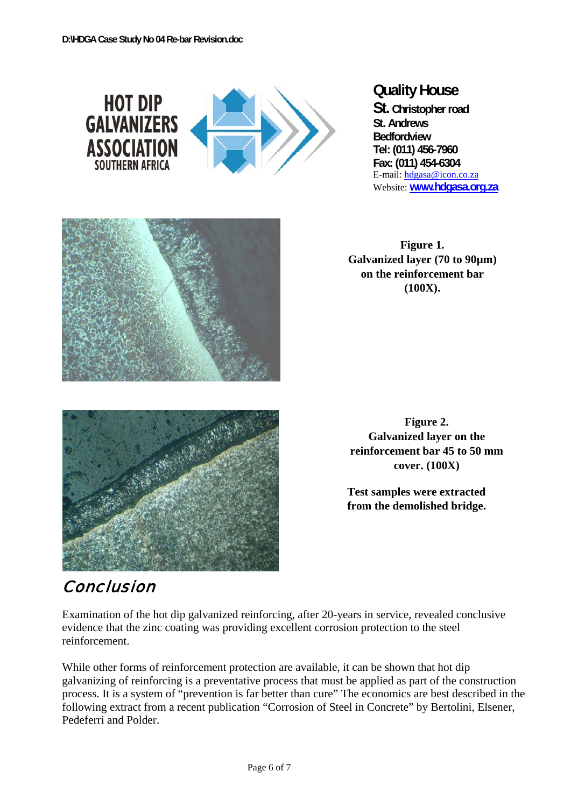

#### **Quality House**

**St. Christopher road St. Andrews Bedfordview Tel: (011) 456-7960 Fax: (011) 454-6304**  E-mail: hdgasa@icon.co.za Website: **www.hdgasa.org.za**



**Figure 1. Galvanized layer (70 to 90µm) on the reinforcement bar (100X).** 



**Figure 2. Galvanized layer on the reinforcement bar 45 to 50 mm cover. (100X)** 

**Test samples were extracted from the demolished bridge.** 

## Conclusion

Examination of the hot dip galvanized reinforcing, after 20-years in service, revealed conclusive evidence that the zinc coating was providing excellent corrosion protection to the steel reinforcement.

While other forms of reinforcement protection are available, it can be shown that hot dip galvanizing of reinforcing is a preventative process that must be applied as part of the construction process. It is a system of "prevention is far better than cure" The economics are best described in the following extract from a recent publication "Corrosion of Steel in Concrete" by Bertolini, Elsener, Pedeferri and Polder.